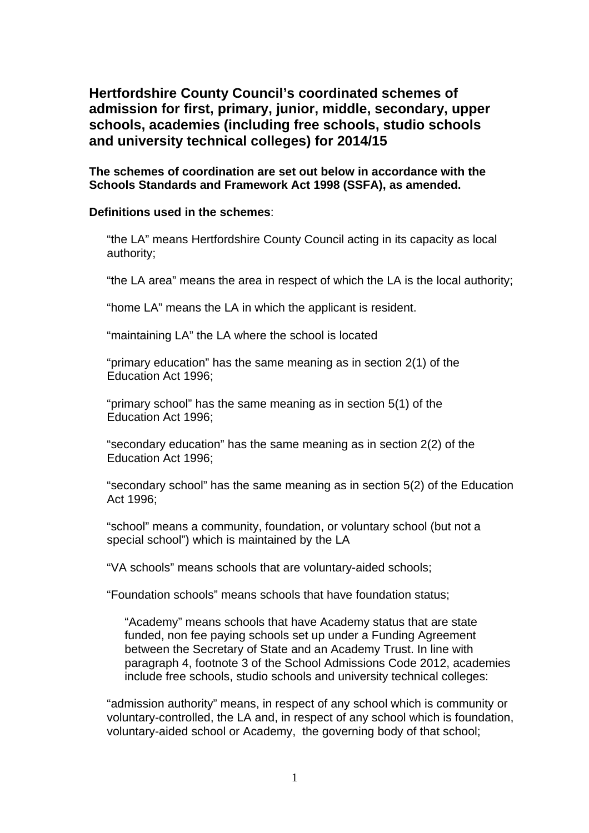**Hertfordshire County Council's coordinated schemes of admission for first, primary, junior, middle, secondary, upper schools, academies (including free schools, studio schools and university technical colleges) for 2014/15** 

**The schemes of coordination are set out below in accordance with the Schools Standards and Framework Act 1998 (SSFA), as amended.** 

### **Definitions used in the schemes**:

"the LA" means Hertfordshire County Council acting in its capacity as local authority;

"the LA area" means the area in respect of which the LA is the local authority;

"home LA" means the LA in which the applicant is resident.

"maintaining LA" the LA where the school is located

"primary education" has the same meaning as in section 2(1) of the Education Act 1996;

"primary school" has the same meaning as in section 5(1) of the Education Act 1996;

"secondary education" has the same meaning as in section 2(2) of the Education Act 1996;

"secondary school" has the same meaning as in section 5(2) of the Education Act 1996;

"school" means a community, foundation, or voluntary school (but not a special school") which is maintained by the LA

"VA schools" means schools that are voluntary-aided schools;

"Foundation schools" means schools that have foundation status;

"Academy" means schools that have Academy status that are state funded, non fee paying schools set up under a Funding Agreement between the Secretary of State and an Academy Trust. In line with paragraph 4, footnote 3 of the School Admissions Code 2012, academies include free schools, studio schools and university technical colleges:

"admission authority" means, in respect of any school which is community or voluntary-controlled, the LA and, in respect of any school which is foundation, voluntary-aided school or Academy, the governing body of that school;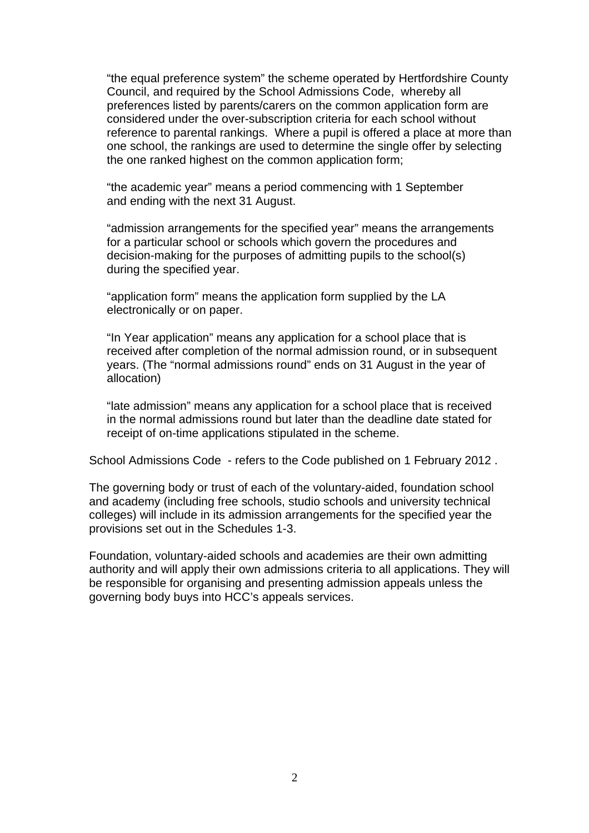"the equal preference system" the scheme operated by Hertfordshire County Council, and required by the School Admissions Code, whereby all preferences listed by parents/carers on the common application form are considered under the over-subscription criteria for each school without reference to parental rankings. Where a pupil is offered a place at more than one school, the rankings are used to determine the single offer by selecting the one ranked highest on the common application form:

"the academic year" means a period commencing with 1 September and ending with the next 31 August.

"admission arrangements for the specified year" means the arrangements for a particular school or schools which govern the procedures and decision-making for the purposes of admitting pupils to the school(s) during the specified year.

"application form" means the application form supplied by the LA electronically or on paper.

"In Year application" means any application for a school place that is received after completion of the normal admission round, or in subsequent years. (The "normal admissions round" ends on 31 August in the year of allocation)

"late admission" means any application for a school place that is received in the normal admissions round but later than the deadline date stated for receipt of on-time applications stipulated in the scheme.

School Admissions Code - refers to the Code published on 1 February 2012 .

The governing body or trust of each of the voluntary-aided, foundation school and academy (including free schools, studio schools and university technical colleges) will include in its admission arrangements for the specified year the provisions set out in the Schedules 1-3.

Foundation, voluntary-aided schools and academies are their own admitting authority and will apply their own admissions criteria to all applications. They will be responsible for organising and presenting admission appeals unless the governing body buys into HCC's appeals services.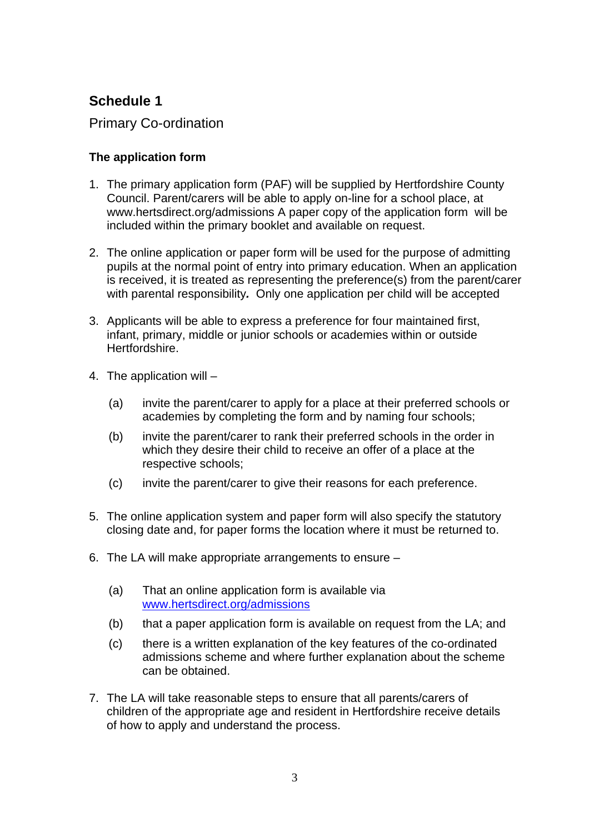# **Schedule 1**

Primary Co-ordination

# **The application form**

- 1. The primary application form (PAF) will be supplied by Hertfordshire County Council. Parent/carers will be able to apply on-line for a school place, at www.hertsdirect.org/admissions A paper copy of the application form will be included within the primary booklet and available on request.
- 2. The online application or paper form will be used for the purpose of admitting pupils at the normal point of entry into primary education. When an application is received, it is treated as representing the preference(s) from the parent/carer with parental responsibility*.* Only one application per child will be accepted
- 3. Applicants will be able to express a preference for four maintained first, infant, primary, middle or junior schools or academies within or outside Hertfordshire.
- 4. The application will
	- (a) invite the parent/carer to apply for a place at their preferred schools or academies by completing the form and by naming four schools;
	- (b) invite the parent/carer to rank their preferred schools in the order in which they desire their child to receive an offer of a place at the respective schools;
	- (c) invite the parent/carer to give their reasons for each preference.
- 5. The online application system and paper form will also specify the statutory closing date and, for paper forms the location where it must be returned to.
- 6. The LA will make appropriate arrangements to ensure
	- (a) That an online application form is available via [www.hertsdirect.org/admissions](http://www.hertsdirect.org/admissions)
	- (b) that a paper application form is available on request from the LA; and
	- (c) there is a written explanation of the key features of the co-ordinated admissions scheme and where further explanation about the scheme can be obtained.
- 7. The LA will take reasonable steps to ensure that all parents/carers of children of the appropriate age and resident in Hertfordshire receive details of how to apply and understand the process.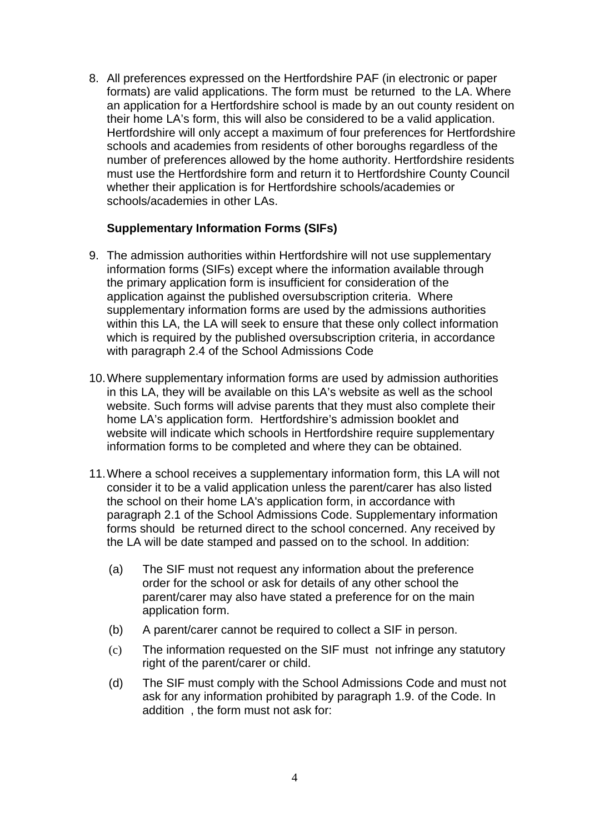8. All preferences expressed on the Hertfordshire PAF (in electronic or paper formats) are valid applications. The form must be returned to the LA. Where an application for a Hertfordshire school is made by an out county resident on their home LA's form, this will also be considered to be a valid application. Hertfordshire will only accept a maximum of four preferences for Hertfordshire schools and academies from residents of other boroughs regardless of the number of preferences allowed by the home authority. Hertfordshire residents must use the Hertfordshire form and return it to Hertfordshire County Council whether their application is for Hertfordshire schools/academies or schools/academies in other LAs.

### **Supplementary Information Forms (SIFs)**

- 9. The admission authorities within Hertfordshire will not use supplementary information forms (SIFs) except where the information available through the primary application form is insufficient for consideration of the application against the published oversubscription criteria. Where supplementary information forms are used by the admissions authorities within this LA, the LA will seek to ensure that these only collect information which is required by the published oversubscription criteria, in accordance with paragraph 2.4 of the School Admissions Code
- 10. Where supplementary information forms are used by admission authorities in this LA, they will be available on this LA's website as well as the school website. Such forms will advise parents that they must also complete their home LA's application form. Hertfordshire's admission booklet and website will indicate which schools in Hertfordshire require supplementary information forms to be completed and where they can be obtained.
- 11. Where a school receives a supplementary information form, this LA will not consider it to be a valid application unless the parent/carer has also listed the school on their home LA's application form, in accordance with paragraph 2.1 of the School Admissions Code. Supplementary information forms should be returned direct to the school concerned. Any received by the LA will be date stamped and passed on to the school. In addition:
	- (a) The SIF must not request any information about the preference order for the school or ask for details of any other school the parent/carer may also have stated a preference for on the main application form.
	- (b) A parent/carer cannot be required to collect a SIF in person.
	- (c) The information requested on the SIF must not infringe any statutory right of the parent/carer or child.
	- (d) The SIF must comply with the School Admissions Code and must not ask for any information prohibited by paragraph 1.9. of the Code. In addition , the form must not ask for: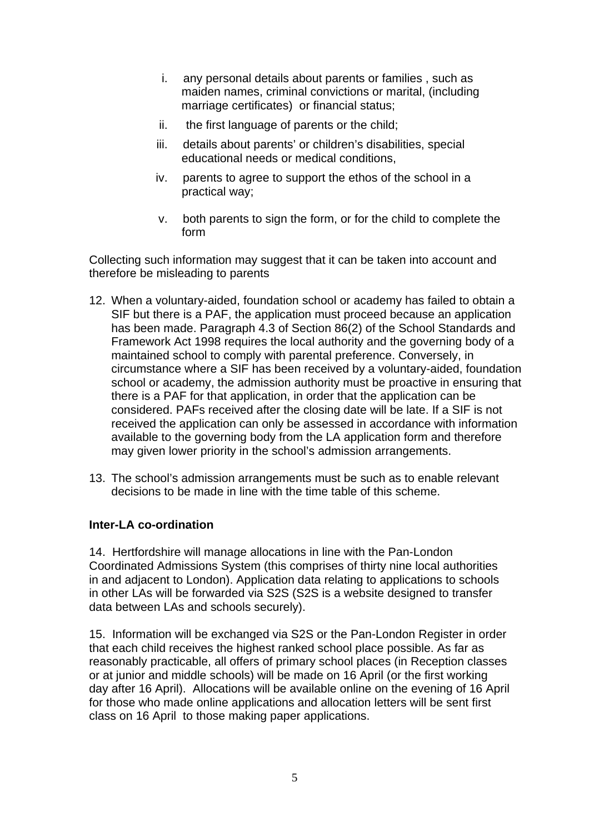- i. any personal details about parents or families , such as maiden names, criminal convictions or marital, (including marriage certificates) or financial status;
- ii. the first language of parents or the child;
- iii. details about parents' or children's disabilities, special educational needs or medical conditions,
- iv. parents to agree to support the ethos of the school in a practical way;
- v. both parents to sign the form, or for the child to complete the form

Collecting such information may suggest that it can be taken into account and therefore be misleading to parents

- 12. When a voluntary-aided, foundation school or academy has failed to obtain a SIF but there is a PAF, the application must proceed because an application has been made. Paragraph 4.3 of Section 86(2) of the School Standards and Framework Act 1998 requires the local authority and the governing body of a maintained school to comply with parental preference. Conversely, in circumstance where a SIF has been received by a voluntary-aided, foundation school or academy, the admission authority must be proactive in ensuring that there is a PAF for that application, in order that the application can be considered. PAFs received after the closing date will be late. If a SIF is not received the application can only be assessed in accordance with information available to the governing body from the LA application form and therefore may given lower priority in the school's admission arrangements.
- 13. The school's admission arrangements must be such as to enable relevant decisions to be made in line with the time table of this scheme.

# **Inter-LA co-ordination**

14. Hertfordshire will manage allocations in line with the Pan-London Coordinated Admissions System (this comprises of thirty nine local authorities in and adjacent to London). Application data relating to applications to schools in other LAs will be forwarded via S2S (S2S is a website designed to transfer data between LAs and schools securely).

15. Information will be exchanged via S2S or the Pan-London Register in order that each child receives the highest ranked school place possible. As far as reasonably practicable, all offers of primary school places (in Reception classes or at junior and middle schools) will be made on 16 April (or the first working day after 16 April). Allocations will be available online on the evening of 16 April for those who made online applications and allocation letters will be sent first class on 16 April to those making paper applications.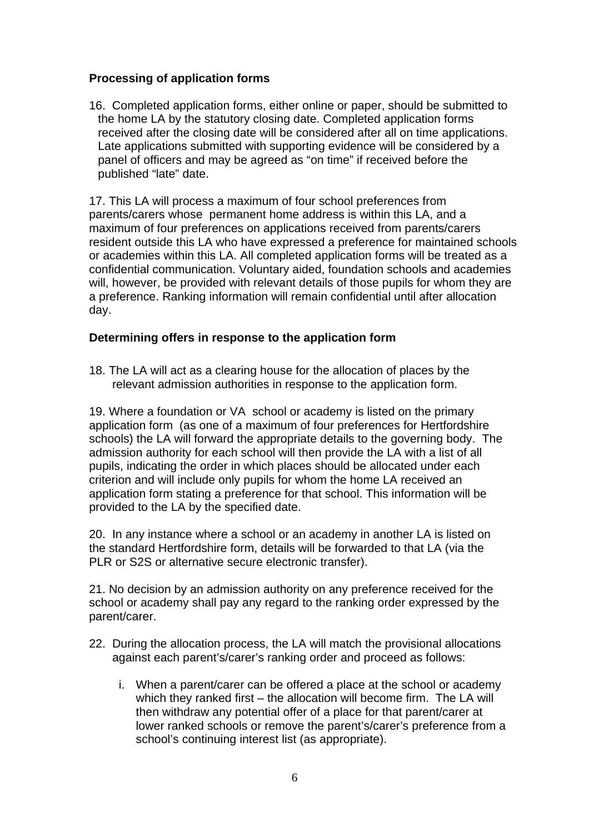### **Processing of application forms**

16. Completed application forms, either online or paper, should be submitted to the home LA by the statutory closing date. Completed application forms received after the closing date will be considered after all on time applications. Late applications submitted with supporting evidence will be considered by a panel of officers and may be agreed as "on time" if received before the published "late" date.

17. This LA will process a maximum of four school preferences from parents/carers whose permanent home address is within this LA, and a maximum of four preferences on applications received from parents/carers resident outside this LA who have expressed a preference for maintained schools or academies within this LA. All completed application forms will be treated as a confidential communication. Voluntary aided, foundation schools and academies will, however, be provided with relevant details of those pupils for whom they are a preference. Ranking information will remain confidential until after allocation day.

### **Determining offers in response to the application form**

18. The LA will act as a clearing house for the allocation of places by the relevant admission authorities in response to the application form.

19. Where a foundation or VA school or academy is listed on the primary application form (as one of a maximum of four preferences for Hertfordshire schools) the LA will forward the appropriate details to the governing body. The admission authority for each school will then provide the LA with a list of all pupils, indicating the order in which places should be allocated under each criterion and will include only pupils for whom the home LA received an application form stating a preference for that school. This information will be provided to the LA by the specified date.

20. In any instance where a school or an academy in another LA is listed on the standard Hertfordshire form, details will be forwarded to that LA (via the PLR or S2S or alternative secure electronic transfer).

21. No decision by an admission authority on any preference received for the school or academy shall pay any regard to the ranking order expressed by the parent/carer.

- 22. During the allocation process, the LA will match the provisional allocations against each parent's/carer's ranking order and proceed as follows:
	- i. When a parent/carer can be offered a place at the school or academy which they ranked first – the allocation will become firm. The LA will then withdraw any potential offer of a place for that parent/carer at lower ranked schools or remove the parent's/carer's preference from a school's continuing interest list (as appropriate).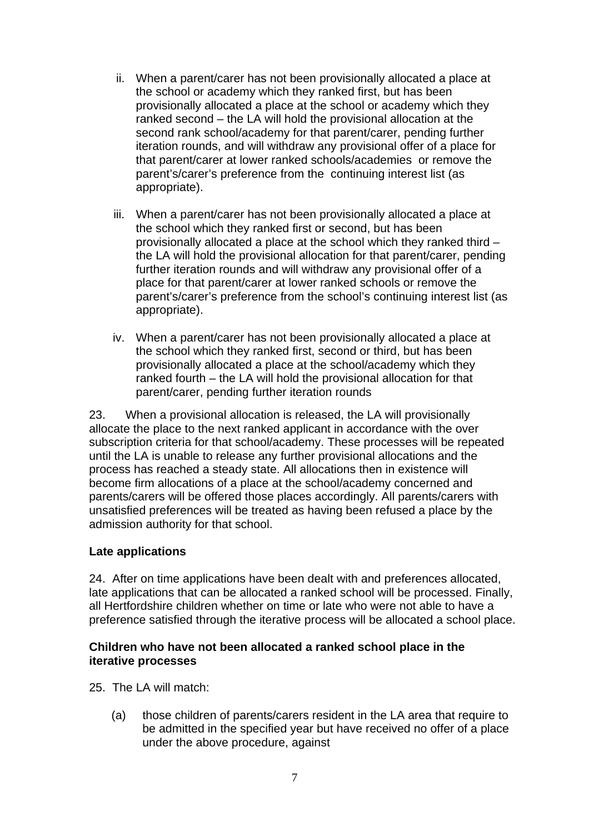- ii. When a parent/carer has not been provisionally allocated a place at the school or academy which they ranked first, but has been provisionally allocated a place at the school or academy which they ranked second – the LA will hold the provisional allocation at the second rank school/academy for that parent/carer, pending further iteration rounds, and will withdraw any provisional offer of a place for that parent/carer at lower ranked schools/academies or remove the parent's/carer's preference from the continuing interest list (as appropriate).
- iii. When a parent/carer has not been provisionally allocated a place at the school which they ranked first or second, but has been provisionally allocated a place at the school which they ranked third – the LA will hold the provisional allocation for that parent/carer, pending further iteration rounds and will withdraw any provisional offer of a place for that parent/carer at lower ranked schools or remove the parent's/carer's preference from the school's continuing interest list (as appropriate).
- iv. When a parent/carer has not been provisionally allocated a place at the school which they ranked first, second or third, but has been provisionally allocated a place at the school/academy which they ranked fourth – the LA will hold the provisional allocation for that parent/carer, pending further iteration rounds

23. When a provisional allocation is released, the LA will provisionally allocate the place to the next ranked applicant in accordance with the over subscription criteria for that school/academy. These processes will be repeated until the LA is unable to release any further provisional allocations and the process has reached a steady state. All allocations then in existence will become firm allocations of a place at the school/academy concerned and parents/carers will be offered those places accordingly. All parents/carers with unsatisfied preferences will be treated as having been refused a place by the admission authority for that school.

### **Late applications**

24. After on time applications have been dealt with and preferences allocated, late applications that can be allocated a ranked school will be processed. Finally, all Hertfordshire children whether on time or late who were not able to have a preference satisfied through the iterative process will be allocated a school place.

### **Children who have not been allocated a ranked school place in the iterative processes**

- 25. The LA will match:
	- (a) those children of parents/carers resident in the LA area that require to be admitted in the specified year but have received no offer of a place under the above procedure, against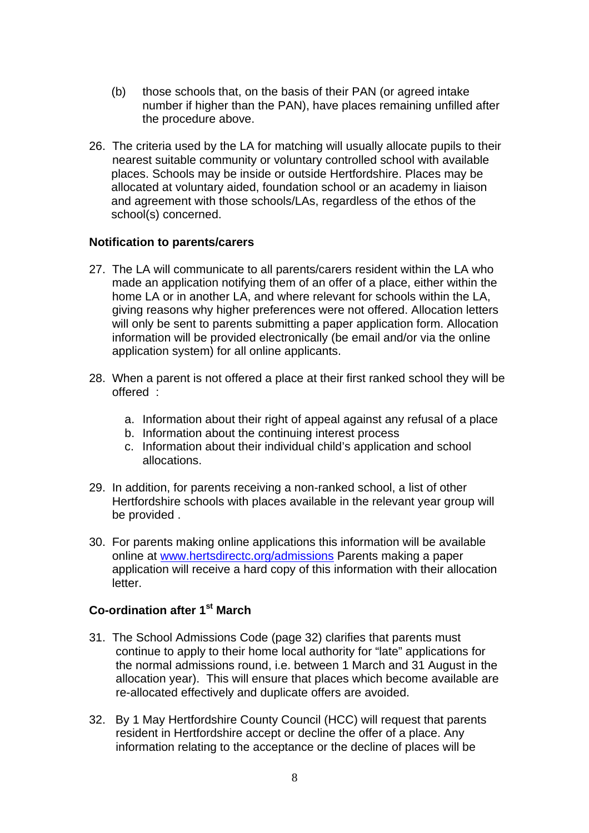- (b) those schools that, on the basis of their PAN (or agreed intake number if higher than the PAN), have places remaining unfilled after the procedure above.
- 26. The criteria used by the LA for matching will usually allocate pupils to their nearest suitable community or voluntary controlled school with available places. Schools may be inside or outside Hertfordshire. Places may be allocated at voluntary aided, foundation school or an academy in liaison and agreement with those schools/LAs, regardless of the ethos of the school(s) concerned.

#### **Notification to parents/carers**

- 27. The LA will communicate to all parents/carers resident within the LA who made an application notifying them of an offer of a place, either within the home LA or in another LA, and where relevant for schools within the LA, giving reasons why higher preferences were not offered. Allocation letters will only be sent to parents submitting a paper application form. Allocation information will be provided electronically (be email and/or via the online application system) for all online applicants.
- 28. When a parent is not offered a place at their first ranked school they will be offered :
	- a. Information about their right of appeal against any refusal of a place
	- b. Information about the continuing interest process
	- c. Information about their individual child's application and school allocations.
- 29. In addition, for parents receiving a non-ranked school, a list of other Hertfordshire schools with places available in the relevant year group will be provided .
- 30. For parents making online applications this information will be available online at [www.hertsdirectc.org/admissions](http://www.hertsdirectc.org/admissions) Parents making a paper application will receive a hard copy of this information with their allocation letter.

### **Co-ordination after 1st March**

- 31. The School Admissions Code (page 32) clarifies that parents must continue to apply to their home local authority for "late" applications for the normal admissions round, i.e. between 1 March and 31 August in the allocation year). This will ensure that places which become available are re-allocated effectively and duplicate offers are avoided.
- 32. By 1 May Hertfordshire County Council (HCC) will request that parents resident in Hertfordshire accept or decline the offer of a place. Any information relating to the acceptance or the decline of places will be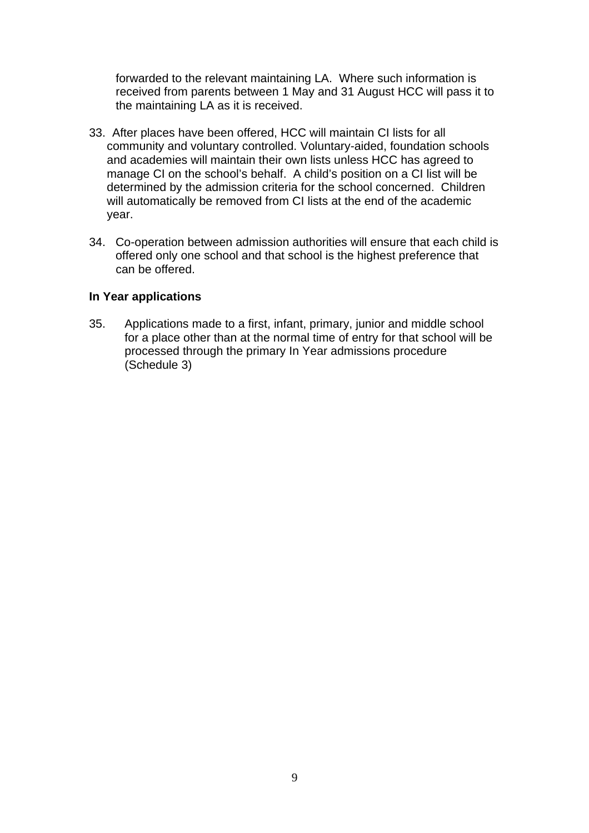forwarded to the relevant maintaining LA. Where such information is received from parents between 1 May and 31 August HCC will pass it to the maintaining LA as it is received.

- 33. After places have been offered, HCC will maintain CI lists for all community and voluntary controlled. Voluntary-aided, foundation schools and academies will maintain their own lists unless HCC has agreed to manage CI on the school's behalf. A child's position on a CI list will be determined by the admission criteria for the school concerned. Children will automatically be removed from CI lists at the end of the academic year.
- 34. Co-operation between admission authorities will ensure that each child is offered only one school and that school is the highest preference that can be offered.

#### **In Year applications**

35. Applications made to a first, infant, primary, junior and middle school for a place other than at the normal time of entry for that school will be processed through the primary In Year admissions procedure (Schedule 3)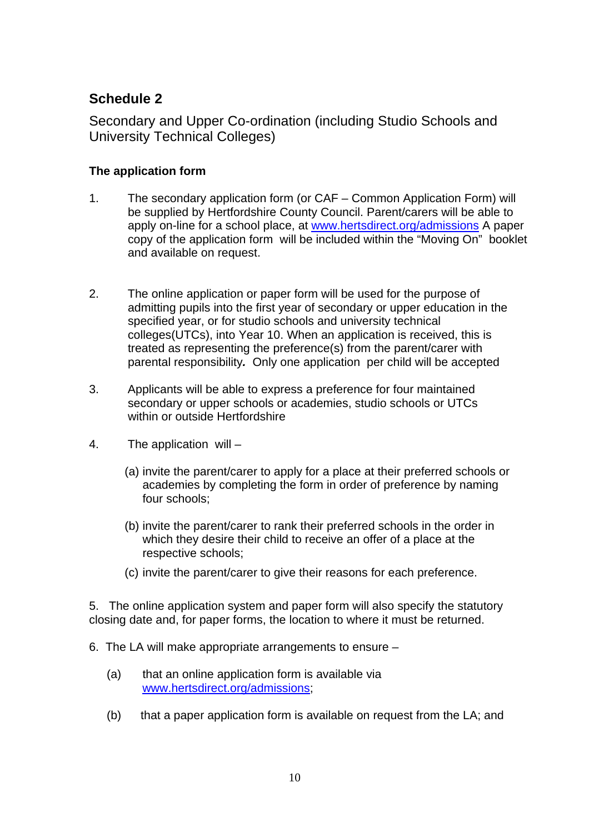# **Schedule 2**

Secondary and Upper Co-ordination (including Studio Schools and University Technical Colleges)

# **The application form**

- 1. The secondary application form (or CAF Common Application Form) will be supplied by Hertfordshire County Council. Parent/carers will be able to apply on-line for a school place, at [www.hertsdirect.org/admissions](http://www.hertsdirect.org/admissions) A paper copy of the application form will be included within the "Moving On" booklet and available on request.
- 2. The online application or paper form will be used for the purpose of admitting pupils into the first year of secondary or upper education in the specified year, or for studio schools and university technical colleges(UTCs), into Year 10. When an application is received, this is treated as representing the preference(s) from the parent/carer with parental responsibility*.* Only one application per child will be accepted
- 3. Applicants will be able to express a preference for four maintained secondary or upper schools or academies, studio schools or UTCs within or outside Hertfordshire
- 4. The application will
	- (a) invite the parent/carer to apply for a place at their preferred schools or academies by completing the form in order of preference by naming four schools;
	- (b) invite the parent/carer to rank their preferred schools in the order in which they desire their child to receive an offer of a place at the respective schools;
	- (c) invite the parent/carer to give their reasons for each preference.

5. The online application system and paper form will also specify the statutory closing date and, for paper forms, the location to where it must be returned.

- 6. The LA will make appropriate arrangements to ensure
	- (a) that an online application form is available via [www.hertsdirect.org/admissions](http://www.hertsdirect.org/admissions);
	- (b) that a paper application form is available on request from the LA; and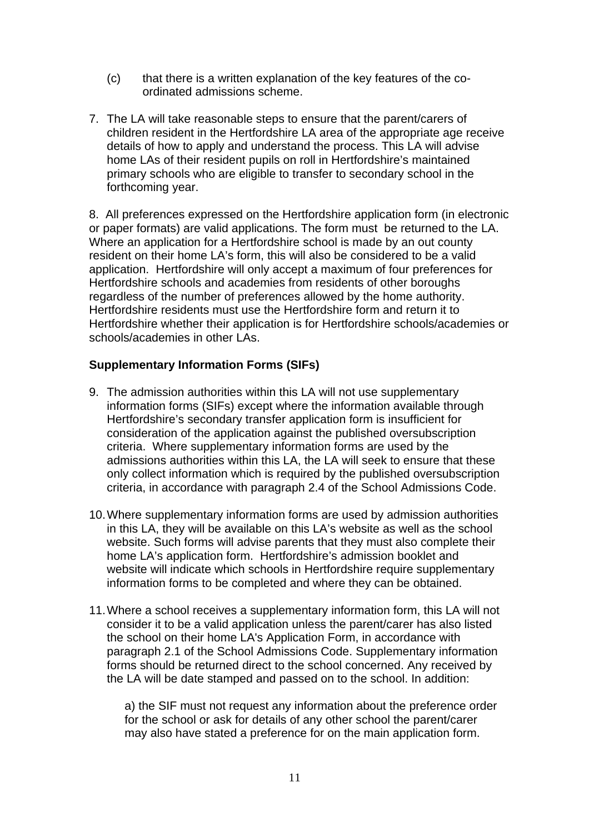- (c) that there is a written explanation of the key features of the coordinated admissions scheme.
- 7. The LA will take reasonable steps to ensure that the parent/carers of children resident in the Hertfordshire LA area of the appropriate age receive details of how to apply and understand the process. This LA will advise home LAs of their resident pupils on roll in Hertfordshire's maintained primary schools who are eligible to transfer to secondary school in the forthcoming year.

8. All preferences expressed on the Hertfordshire application form (in electronic or paper formats) are valid applications. The form must be returned to the LA. Where an application for a Hertfordshire school is made by an out county resident on their home LA's form, this will also be considered to be a valid application. Hertfordshire will only accept a maximum of four preferences for Hertfordshire schools and academies from residents of other boroughs regardless of the number of preferences allowed by the home authority. Hertfordshire residents must use the Hertfordshire form and return it to Hertfordshire whether their application is for Hertfordshire schools/academies or schools/academies in other LAs.

### **Supplementary Information Forms (SIFs)**

- 9. The admission authorities within this LA will not use supplementary information forms (SIFs) except where the information available through Hertfordshire's secondary transfer application form is insufficient for consideration of the application against the published oversubscription criteria. Where supplementary information forms are used by the admissions authorities within this LA, the LA will seek to ensure that these only collect information which is required by the published oversubscription criteria, in accordance with paragraph 2.4 of the School Admissions Code.
- 10. Where supplementary information forms are used by admission authorities in this LA, they will be available on this LA's website as well as the school website. Such forms will advise parents that they must also complete their home LA's application form. Hertfordshire's admission booklet and website will indicate which schools in Hertfordshire require supplementary information forms to be completed and where they can be obtained.
- 11. Where a school receives a supplementary information form, this LA will not consider it to be a valid application unless the parent/carer has also listed the school on their home LA's Application Form, in accordance with paragraph 2.1 of the School Admissions Code. Supplementary information forms should be returned direct to the school concerned. Any received by the LA will be date stamped and passed on to the school. In addition:

a) the SIF must not request any information about the preference order for the school or ask for details of any other school the parent/carer may also have stated a preference for on the main application form.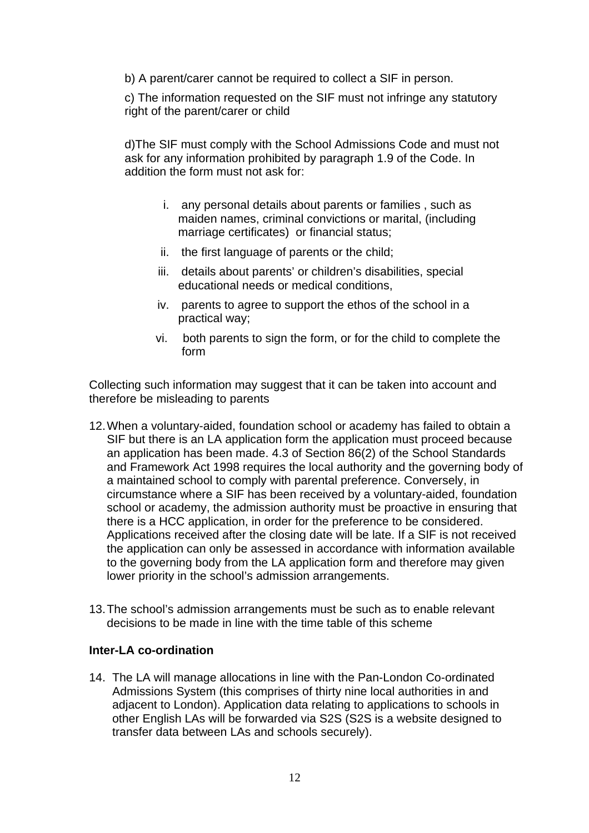b) A parent/carer cannot be required to collect a SIF in person.

c) The information requested on the SIF must not infringe any statutory right of the parent/carer or child

d)The SIF must comply with the School Admissions Code and must not ask for any information prohibited by paragraph 1.9 of the Code. In addition the form must not ask for:

- i. any personal details about parents or families , such as maiden names, criminal convictions or marital, (including marriage certificates) or financial status;
- ii. the first language of parents or the child;
- iii. details about parents' or children's disabilities, special educational needs or medical conditions,
- iv. parents to agree to support the ethos of the school in a practical way;
- vi. both parents to sign the form, or for the child to complete the form

Collecting such information may suggest that it can be taken into account and therefore be misleading to parents

- 12. When a voluntary-aided, foundation school or academy has failed to obtain a SIF but there is an LA application form the application must proceed because an application has been made. 4.3 of Section 86(2) of the School Standards and Framework Act 1998 requires the local authority and the governing body of a maintained school to comply with parental preference. Conversely, in circumstance where a SIF has been received by a voluntary-aided, foundation school or academy, the admission authority must be proactive in ensuring that there is a HCC application, in order for the preference to be considered. Applications received after the closing date will be late. If a SIF is not received the application can only be assessed in accordance with information available to the governing body from the LA application form and therefore may given lower priority in the school's admission arrangements.
- 13. The school's admission arrangements must be such as to enable relevant decisions to be made in line with the time table of this scheme

### **Inter-LA co-ordination**

14. The LA will manage allocations in line with the Pan-London Co-ordinated Admissions System (this comprises of thirty nine local authorities in and adjacent to London). Application data relating to applications to schools in other English LAs will be forwarded via S2S (S2S is a website designed to transfer data between LAs and schools securely).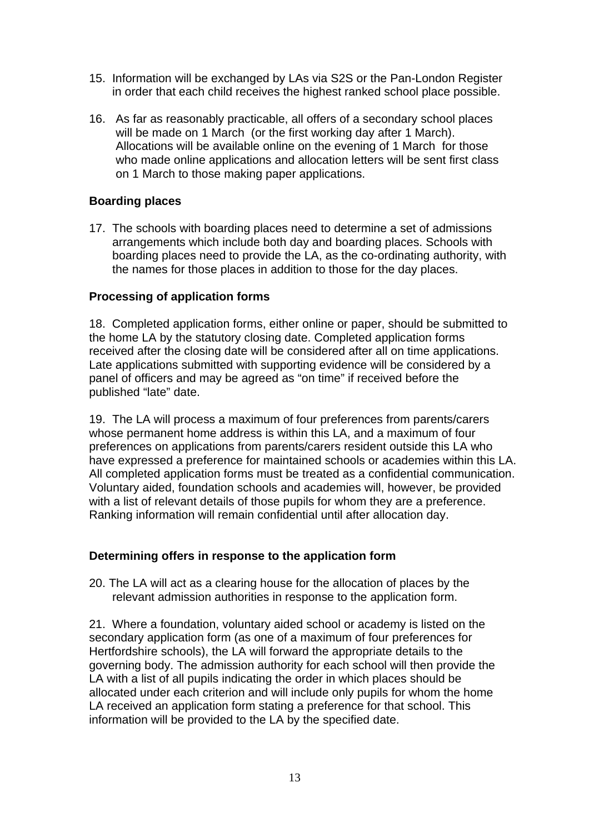- 15. Information will be exchanged by LAs via S2S or the Pan-London Register in order that each child receives the highest ranked school place possible.
- 16. As far as reasonably practicable, all offers of a secondary school places will be made on 1 March (or the first working day after 1 March). Allocations will be available online on the evening of 1 March for those who made online applications and allocation letters will be sent first class on 1 March to those making paper applications.

### **Boarding places**

17. The schools with boarding places need to determine a set of admissions arrangements which include both day and boarding places. Schools with boarding places need to provide the LA, as the co-ordinating authority, with the names for those places in addition to those for the day places.

### **Processing of application forms**

18. Completed application forms, either online or paper, should be submitted to the home LA by the statutory closing date. Completed application forms received after the closing date will be considered after all on time applications. Late applications submitted with supporting evidence will be considered by a panel of officers and may be agreed as "on time" if received before the published "late" date.

19. The LA will process a maximum of four preferences from parents/carers whose permanent home address is within this LA, and a maximum of four preferences on applications from parents/carers resident outside this LA who have expressed a preference for maintained schools or academies within this LA. All completed application forms must be treated as a confidential communication. Voluntary aided, foundation schools and academies will, however, be provided with a list of relevant details of those pupils for whom they are a preference. Ranking information will remain confidential until after allocation day.

### **Determining offers in response to the application form**

20. The LA will act as a clearing house for the allocation of places by the relevant admission authorities in response to the application form.

21. Where a foundation, voluntary aided school or academy is listed on the secondary application form (as one of a maximum of four preferences for Hertfordshire schools), the LA will forward the appropriate details to the governing body. The admission authority for each school will then provide the LA with a list of all pupils indicating the order in which places should be allocated under each criterion and will include only pupils for whom the home LA received an application form stating a preference for that school. This information will be provided to the LA by the specified date.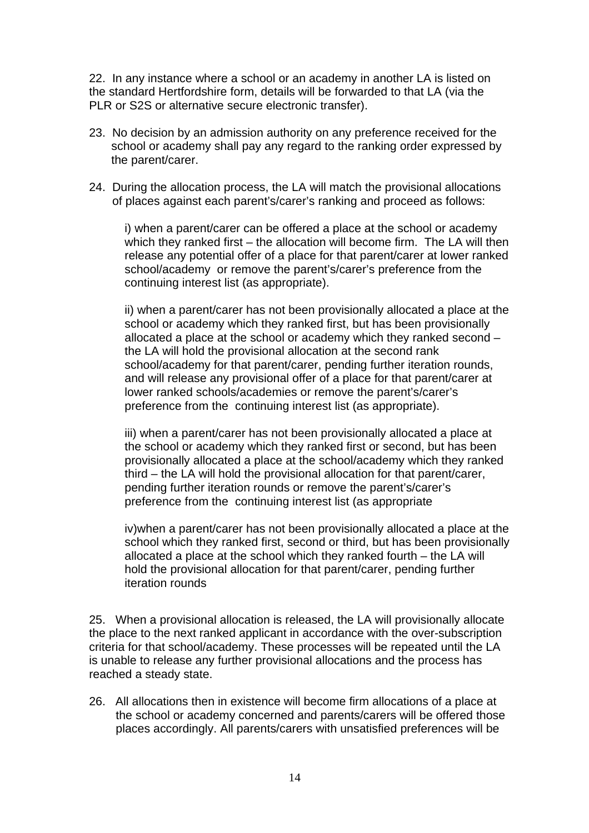22. In any instance where a school or an academy in another LA is listed on the standard Hertfordshire form, details will be forwarded to that LA (via the PLR or S2S or alternative secure electronic transfer).

- 23. No decision by an admission authority on any preference received for the school or academy shall pay any regard to the ranking order expressed by the parent/carer.
- 24. During the allocation process, the LA will match the provisional allocations of places against each parent's/carer's ranking and proceed as follows:

i) when a parent/carer can be offered a place at the school or academy which they ranked first – the allocation will become firm. The LA will then release any potential offer of a place for that parent/carer at lower ranked school/academy or remove the parent's/carer's preference from the continuing interest list (as appropriate).

ii) when a parent/carer has not been provisionally allocated a place at the school or academy which they ranked first, but has been provisionally allocated a place at the school or academy which they ranked second – the LA will hold the provisional allocation at the second rank school/academy for that parent/carer, pending further iteration rounds, and will release any provisional offer of a place for that parent/carer at lower ranked schools/academies or remove the parent's/carer's preference from the continuing interest list (as appropriate).

iii) when a parent/carer has not been provisionally allocated a place at the school or academy which they ranked first or second, but has been provisionally allocated a place at the school/academy which they ranked third – the LA will hold the provisional allocation for that parent/carer, pending further iteration rounds or remove the parent's/carer's preference from the continuing interest list (as appropriate

iv)when a parent/carer has not been provisionally allocated a place at the school which they ranked first, second or third, but has been provisionally allocated a place at the school which they ranked fourth – the LA will hold the provisional allocation for that parent/carer, pending further iteration rounds

25. When a provisional allocation is released, the LA will provisionally allocate the place to the next ranked applicant in accordance with the over-subscription criteria for that school/academy. These processes will be repeated until the LA is unable to release any further provisional allocations and the process has reached a steady state.

26. All allocations then in existence will become firm allocations of a place at the school or academy concerned and parents/carers will be offered those places accordingly. All parents/carers with unsatisfied preferences will be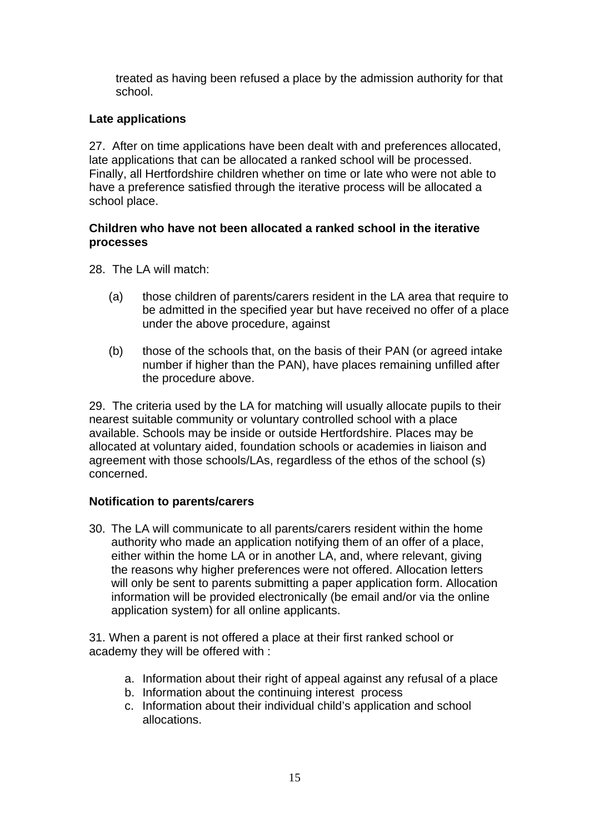treated as having been refused a place by the admission authority for that school.

### **Late applications**

27. After on time applications have been dealt with and preferences allocated, late applications that can be allocated a ranked school will be processed. Finally, all Hertfordshire children whether on time or late who were not able to have a preference satisfied through the iterative process will be allocated a school place.

### **Children who have not been allocated a ranked school in the iterative processes**

28. The LA will match:

- (a) those children of parents/carers resident in the LA area that require to be admitted in the specified year but have received no offer of a place under the above procedure, against
- (b) those of the schools that, on the basis of their PAN (or agreed intake number if higher than the PAN), have places remaining unfilled after the procedure above.

29. The criteria used by the LA for matching will usually allocate pupils to their nearest suitable community or voluntary controlled school with a place available. Schools may be inside or outside Hertfordshire. Places may be allocated at voluntary aided, foundation schools or academies in liaison and agreement with those schools/LAs, regardless of the ethos of the school (s) concerned.

# **Notification to parents/carers**

30. The LA will communicate to all parents/carers resident within the home authority who made an application notifying them of an offer of a place, either within the home LA or in another LA, and, where relevant, giving the reasons why higher preferences were not offered. Allocation letters will only be sent to parents submitting a paper application form. Allocation information will be provided electronically (be email and/or via the online application system) for all online applicants.

31. When a parent is not offered a place at their first ranked school or academy they will be offered with :

- a. Information about their right of appeal against any refusal of a place
- b. Information about the continuing interest process
- c. Information about their individual child's application and school allocations.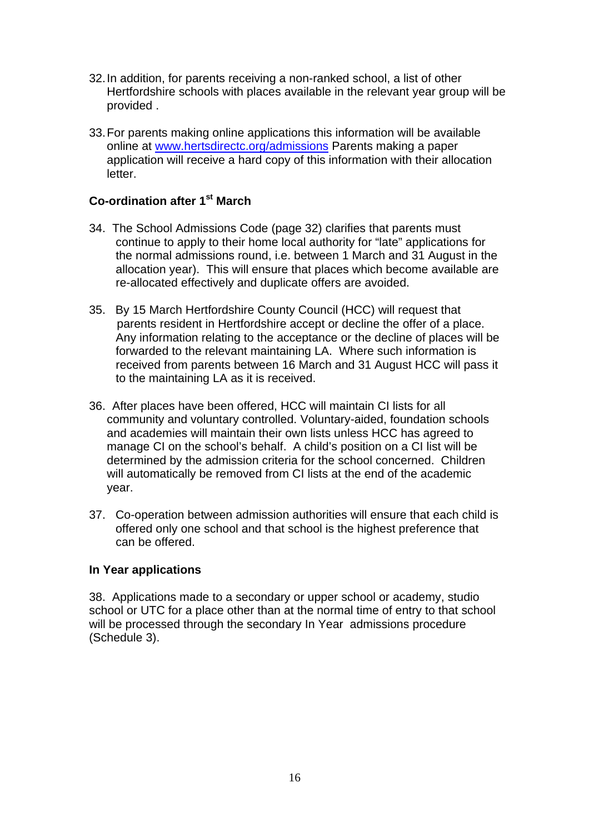- 32. In addition, for parents receiving a non-ranked school, a list of other Hertfordshire schools with places available in the relevant year group will be provided .
- 33. For parents making online applications this information will be available online at [www.hertsdirectc.org/admissions](http://www.hertsdirectc.org/admissions) Parents making a paper application will receive a hard copy of this information with their allocation letter.

### **Co-ordination after 1st March**

- 34. The School Admissions Code (page 32) clarifies that parents must continue to apply to their home local authority for "late" applications for the normal admissions round, i.e. between 1 March and 31 August in the allocation year). This will ensure that places which become available are re-allocated effectively and duplicate offers are avoided.
- 35. By 15 March Hertfordshire County Council (HCC) will request that parents resident in Hertfordshire accept or decline the offer of a place. Any information relating to the acceptance or the decline of places will be forwarded to the relevant maintaining LA. Where such information is received from parents between 16 March and 31 August HCC will pass it to the maintaining LA as it is received.
- 36. After places have been offered, HCC will maintain CI lists for all community and voluntary controlled. Voluntary-aided, foundation schools and academies will maintain their own lists unless HCC has agreed to manage CI on the school's behalf. A child's position on a CI list will be determined by the admission criteria for the school concerned. Children will automatically be removed from CI lists at the end of the academic year.
- 37. Co-operation between admission authorities will ensure that each child is offered only one school and that school is the highest preference that can be offered.

### **In Year applications**

38. Applications made to a secondary or upper school or academy, studio school or UTC for a place other than at the normal time of entry to that school will be processed through the secondary In Year admissions procedure (Schedule 3).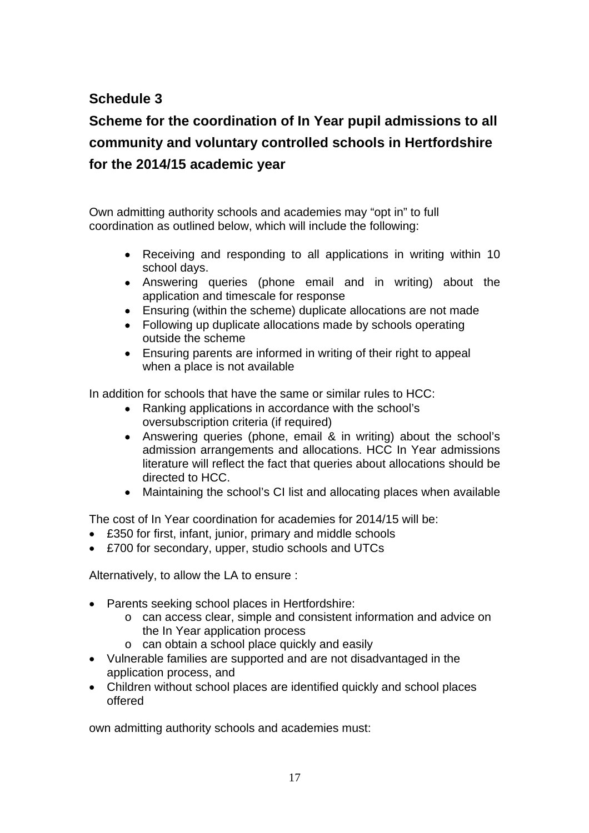# **Schedule 3**

# **Scheme for the coordination of In Year pupil admissions to all community and voluntary controlled schools in Hertfordshire for the 2014/15 academic year**

Own admitting authority schools and academies may "opt in" to full coordination as outlined below, which will include the following:

- Receiving and responding to all applications in writing within 10 school days.
- Answering queries (phone email and in writing) about the application and timescale for response
- Ensuring (within the scheme) duplicate allocations are not made
- Following up duplicate allocations made by schools operating outside the scheme
- Ensuring parents are informed in writing of their right to appeal when a place is not available

In addition for schools that have the same or similar rules to HCC:

- Ranking applications in accordance with the school's oversubscription criteria (if required)
- Answering queries (phone, email & in writing) about the school's admission arrangements and allocations. HCC In Year admissions literature will reflect the fact that queries about allocations should be directed to HCC.
- Maintaining the school's CI list and allocating places when available

The cost of In Year coordination for academies for 2014/15 will be:

- £350 for first, infant, junior, primary and middle schools
- £700 for secondary, upper, studio schools and UTCs

Alternatively, to allow the LA to ensure :

- Parents seeking school places in Hertfordshire:
	- o can access clear, simple and consistent information and advice on the In Year application process
	- o can obtain a school place quickly and easily
- Vulnerable families are supported and are not disadvantaged in the application process, and
- Children without school places are identified quickly and school places offered

own admitting authority schools and academies must: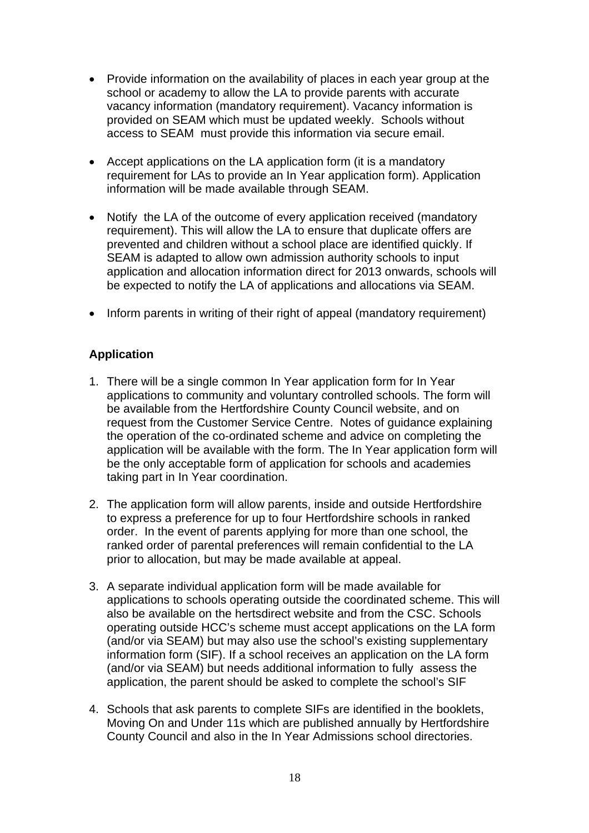- Provide information on the availability of places in each year group at the school or academy to allow the LA to provide parents with accurate vacancy information (mandatory requirement). Vacancy information is provided on SEAM which must be updated weekly. Schools without access to SEAM must provide this information via secure email.
- Accept applications on the LA application form (it is a mandatory requirement for LAs to provide an In Year application form). Application information will be made available through SEAM.
- Notify the LA of the outcome of every application received (mandatory requirement). This will allow the LA to ensure that duplicate offers are prevented and children without a school place are identified quickly. If SEAM is adapted to allow own admission authority schools to input application and allocation information direct for 2013 onwards, schools will be expected to notify the LA of applications and allocations via SEAM.
- Inform parents in writing of their right of appeal (mandatory requirement)

### **Application**

- 1. There will be a single common In Year application form for In Year applications to community and voluntary controlled schools. The form will be available from the Hertfordshire County Council website, and on request from the Customer Service Centre. Notes of guidance explaining the operation of the co-ordinated scheme and advice on completing the application will be available with the form. The In Year application form will be the only acceptable form of application for schools and academies taking part in In Year coordination.
- 2. The application form will allow parents, inside and outside Hertfordshire to express a preference for up to four Hertfordshire schools in ranked order. In the event of parents applying for more than one school, the ranked order of parental preferences will remain confidential to the LA prior to allocation, but may be made available at appeal.
- 3. A separate individual application form will be made available for applications to schools operating outside the coordinated scheme. This will also be available on the hertsdirect website and from the CSC. Schools operating outside HCC's scheme must accept applications on the LA form (and/or via SEAM) but may also use the school's existing supplementary information form (SIF). If a school receives an application on the LA form (and/or via SEAM) but needs additional information to fully assess the application, the parent should be asked to complete the school's SIF
- 4. Schools that ask parents to complete SIFs are identified in the booklets, Moving On and Under 11s which are published annually by Hertfordshire County Council and also in the In Year Admissions school directories.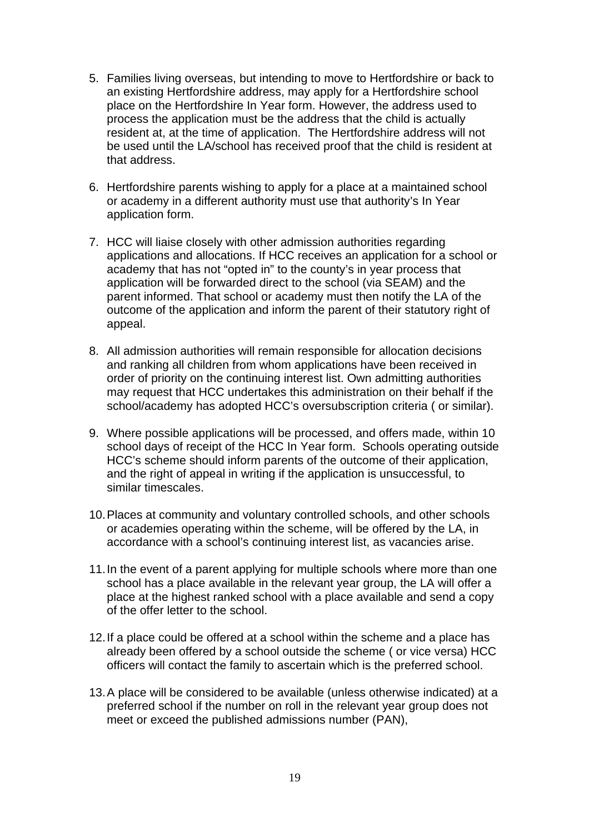- 5. Families living overseas, but intending to move to Hertfordshire or back to an existing Hertfordshire address, may apply for a Hertfordshire school place on the Hertfordshire In Year form. However, the address used to process the application must be the address that the child is actually resident at, at the time of application. The Hertfordshire address will not be used until the LA/school has received proof that the child is resident at that address.
- 6. Hertfordshire parents wishing to apply for a place at a maintained school or academy in a different authority must use that authority's In Year application form.
- 7. HCC will liaise closely with other admission authorities regarding applications and allocations. If HCC receives an application for a school or academy that has not "opted in" to the county's in year process that application will be forwarded direct to the school (via SEAM) and the parent informed. That school or academy must then notify the LA of the outcome of the application and inform the parent of their statutory right of appeal.
- 8. All admission authorities will remain responsible for allocation decisions and ranking all children from whom applications have been received in order of priority on the continuing interest list. Own admitting authorities may request that HCC undertakes this administration on their behalf if the school/academy has adopted HCC's oversubscription criteria ( or similar).
- 9. Where possible applications will be processed, and offers made, within 10 school days of receipt of the HCC In Year form. Schools operating outside HCC's scheme should inform parents of the outcome of their application, and the right of appeal in writing if the application is unsuccessful, to similar timescales.
- 10. Places at community and voluntary controlled schools, and other schools or academies operating within the scheme, will be offered by the LA, in accordance with a school's continuing interest list, as vacancies arise.
- 11. In the event of a parent applying for multiple schools where more than one school has a place available in the relevant year group, the LA will offer a place at the highest ranked school with a place available and send a copy of the offer letter to the school.
- 12. If a place could be offered at a school within the scheme and a place has already been offered by a school outside the scheme ( or vice versa) HCC officers will contact the family to ascertain which is the preferred school.
- 13. A place will be considered to be available (unless otherwise indicated) at a preferred school if the number on roll in the relevant year group does not meet or exceed the published admissions number (PAN),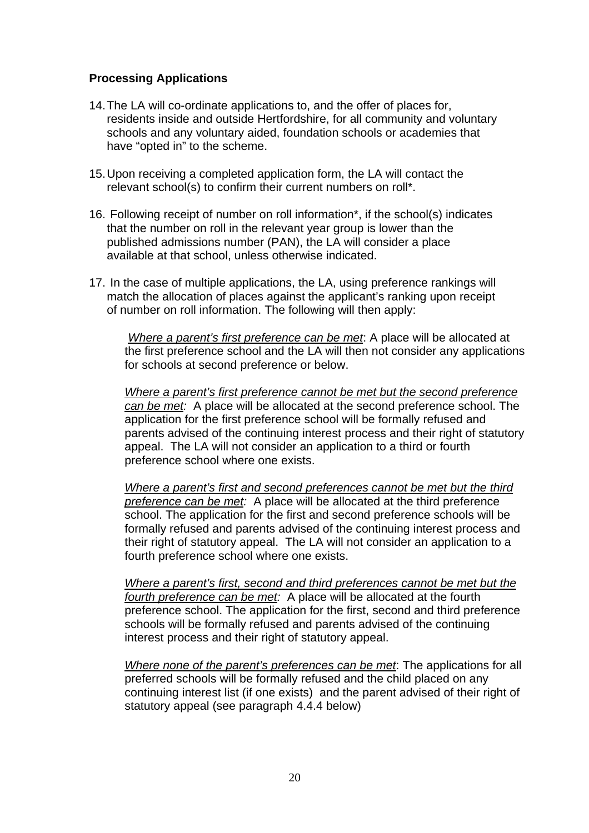### **Processing Applications**

- 14. The LA will co-ordinate applications to, and the offer of places for, residents inside and outside Hertfordshire, for all community and voluntary schools and any voluntary aided, foundation schools or academies that have "opted in" to the scheme.
- 15. Upon receiving a completed application form, the LA will contact the relevant school(s) to confirm their current numbers on roll\*.
- 16. Following receipt of number on roll information\*, if the school(s) indicates that the number on roll in the relevant year group is lower than the published admissions number (PAN), the LA will consider a place available at that school, unless otherwise indicated.
- 17. In the case of multiple applications, the LA, using preference rankings will match the allocation of places against the applicant's ranking upon receipt of number on roll information. The following will then apply:

*Where a parent's first preference can be met*: A place will be allocated at the first preference school and the LA will then not consider any applications for schools at second preference or below.

*Where a parent's first preference cannot be met but the second preference can be met:* A place will be allocated at the second preference school. The application for the first preference school will be formally refused and parents advised of the continuing interest process and their right of statutory appeal. The LA will not consider an application to a third or fourth preference school where one exists.

*Where a parent's first and second preferences cannot be met but the third preference can be met:* A place will be allocated at the third preference school. The application for the first and second preference schools will be formally refused and parents advised of the continuing interest process and their right of statutory appeal. The LA will not consider an application to a fourth preference school where one exists.

*Where a parent's first, second and third preferences cannot be met but the fourth preference can be met:* A place will be allocated at the fourth preference school. The application for the first, second and third preference schools will be formally refused and parents advised of the continuing interest process and their right of statutory appeal.

*Where none of the parent's preferences can be met*: The applications for all preferred schools will be formally refused and the child placed on any continuing interest list (if one exists) and the parent advised of their right of statutory appeal (see paragraph 4.4.4 below)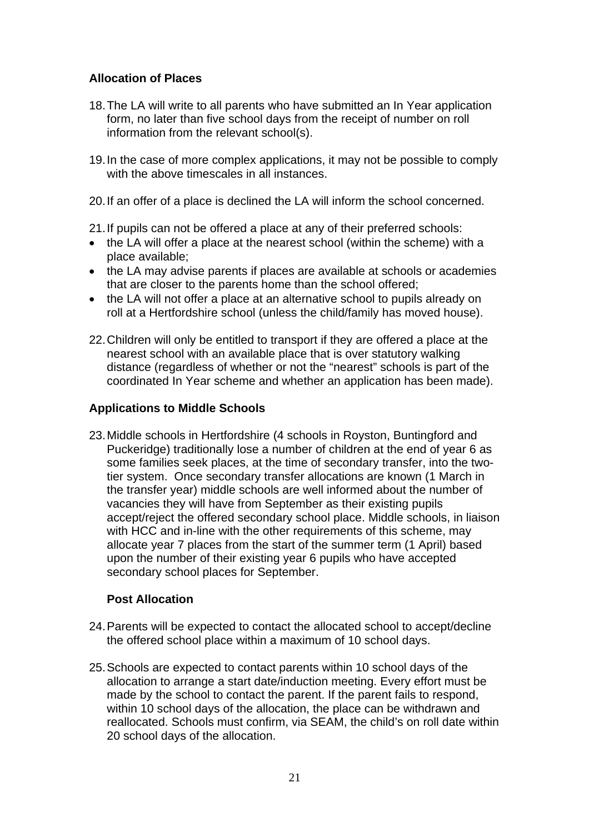# **Allocation of Places**

- 18. The LA will write to all parents who have submitted an In Year application form, no later than five school days from the receipt of number on roll information from the relevant school(s).
- 19. In the case of more complex applications, it may not be possible to comply with the above timescales in all instances.
- 20. If an offer of a place is declined the LA will inform the school concerned.
- 21. If pupils can not be offered a place at any of their preferred schools:
- the LA will offer a place at the nearest school (within the scheme) with a place available;
- the LA may advise parents if places are available at schools or academies that are closer to the parents home than the school offered;
- the LA will not offer a place at an alternative school to pupils already on roll at a Hertfordshire school (unless the child/family has moved house).
- 22. Children will only be entitled to transport if they are offered a place at the nearest school with an available place that is over statutory walking distance (regardless of whether or not the "nearest" schools is part of the coordinated In Year scheme and whether an application has been made).

### **Applications to Middle Schools**

23. Middle schools in Hertfordshire (4 schools in Royston, Buntingford and Puckeridge) traditionally lose a number of children at the end of year 6 as some families seek places, at the time of secondary transfer, into the twotier system. Once secondary transfer allocations are known (1 March in the transfer year) middle schools are well informed about the number of vacancies they will have from September as their existing pupils accept/reject the offered secondary school place. Middle schools, in liaison with HCC and in-line with the other requirements of this scheme, may allocate year 7 places from the start of the summer term (1 April) based upon the number of their existing year 6 pupils who have accepted secondary school places for September.

# **Post Allocation**

- 24. Parents will be expected to contact the allocated school to accept/decline the offered school place within a maximum of 10 school days.
- 25. Schools are expected to contact parents within 10 school days of the allocation to arrange a start date/induction meeting. Every effort must be made by the school to contact the parent. If the parent fails to respond, within 10 school days of the allocation, the place can be withdrawn and reallocated. Schools must confirm, via SEAM, the child's on roll date within 20 school days of the allocation.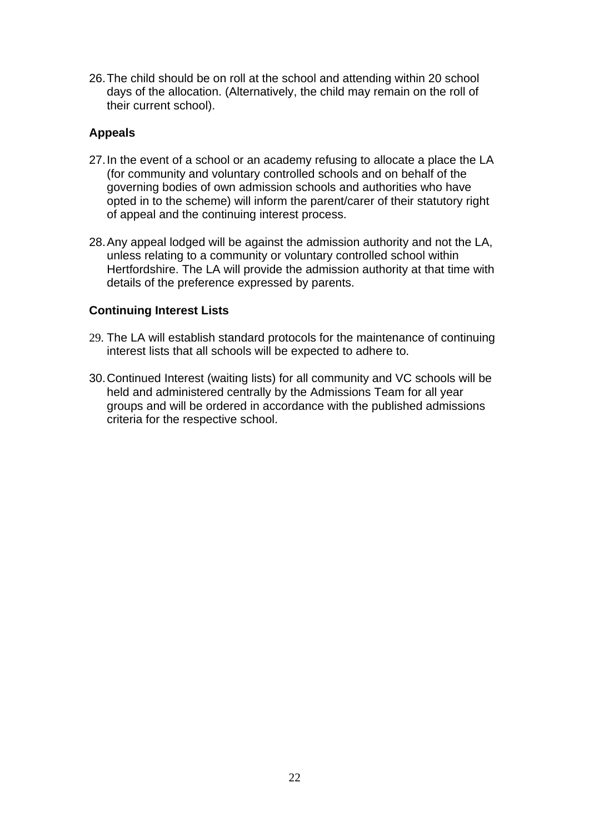26. The child should be on roll at the school and attending within 20 school days of the allocation. (Alternatively, the child may remain on the roll of their current school).

### **Appeals**

- 27. In the event of a school or an academy refusing to allocate a place the LA (for community and voluntary controlled schools and on behalf of the governing bodies of own admission schools and authorities who have opted in to the scheme) will inform the parent/carer of their statutory right of appeal and the continuing interest process.
- 28. Any appeal lodged will be against the admission authority and not the LA, unless relating to a community or voluntary controlled school within Hertfordshire. The LA will provide the admission authority at that time with details of the preference expressed by parents.

### **Continuing Interest Lists**

- 29. The LA will establish standard protocols for the maintenance of continuing interest lists that all schools will be expected to adhere to.
- 30. Continued Interest (waiting lists) for all community and VC schools will be held and administered centrally by the Admissions Team for all year groups and will be ordered in accordance with the published admissions criteria for the respective school.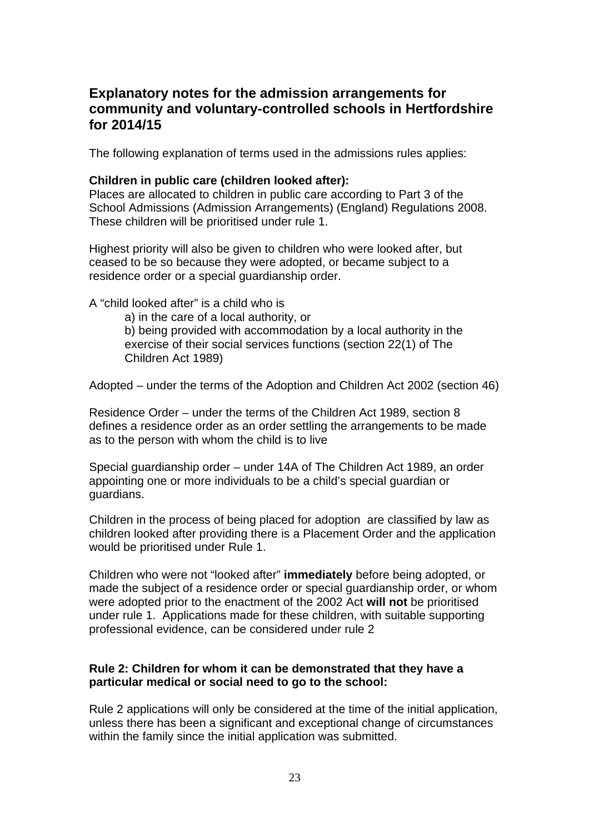# **Explanatory notes for the admission arrangements for community and voluntary-controlled schools in Hertfordshire for 2014/15**

The following explanation of terms used in the admissions rules applies:

### **Children in public care (children looked after):**

Places are allocated to children in public care according to Part 3 of the School Admissions (Admission Arrangements) (England) Regulations 2008. These children will be prioritised under rule 1.

Highest priority will also be given to children who were looked after, but ceased to be so because they were adopted, or became subject to a residence order or a special guardianship order.

A "child looked after" is a child who is

a) in the care of a local authority, or

b) being provided with accommodation by a local authority in the exercise of their social services functions (section 22(1) of The Children Act 1989)

Adopted – under the terms of the Adoption and Children Act 2002 (section 46)

Residence Order – under the terms of the Children Act 1989, section 8 defines a residence order as an order settling the arrangements to be made as to the person with whom the child is to live

Special guardianship order – under 14A of The Children Act 1989, an order appointing one or more individuals to be a child's special guardian or guardians.

Children in the process of being placed for adoption are classified by law as children looked after providing there is a Placement Order and the application would be prioritised under Rule 1.

Children who were not "looked after" **immediately** before being adopted, or made the subject of a residence order or special guardianship order, or whom were adopted prior to the enactment of the 2002 Act **will not** be prioritised under rule 1. Applications made for these children, with suitable supporting professional evidence, can be considered under rule 2

### **Rule 2: Children for whom it can be demonstrated that they have a particular medical or social need to go to the school:**

Rule 2 applications will only be considered at the time of the initial application, unless there has been a significant and exceptional change of circumstances within the family since the initial application was submitted.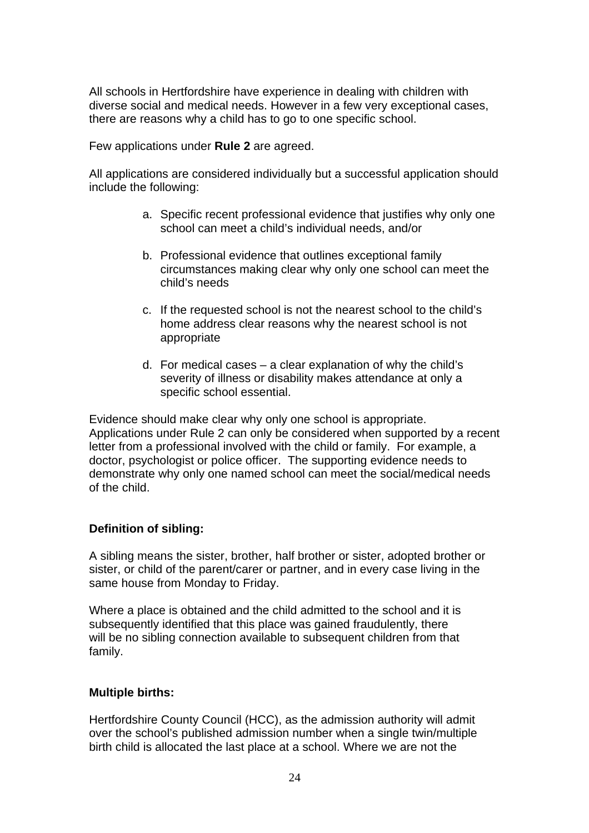All schools in Hertfordshire have experience in dealing with children with diverse social and medical needs. However in a few very exceptional cases, there are reasons why a child has to go to one specific school.

Few applications under **Rule 2** are agreed.

All applications are considered individually but a successful application should include the following:

- a. Specific recent professional evidence that justifies why only one school can meet a child's individual needs, and/or
- b. Professional evidence that outlines exceptional family circumstances making clear why only one school can meet the child's needs
- c. If the requested school is not the nearest school to the child's home address clear reasons why the nearest school is not appropriate
- d. For medical cases a clear explanation of why the child's severity of illness or disability makes attendance at only a specific school essential.

Evidence should make clear why only one school is appropriate. Applications under Rule 2 can only be considered when supported by a recent letter from a professional involved with the child or family. For example, a doctor, psychologist or police officer. The supporting evidence needs to demonstrate why only one named school can meet the social/medical needs of the child.

### **Definition of sibling:**

A sibling means the sister, brother, half brother or sister, adopted brother or sister, or child of the parent/carer or partner, and in every case living in the same house from Monday to Friday.

Where a place is obtained and the child admitted to the school and it is subsequently identified that this place was gained fraudulently, there will be no sibling connection available to subsequent children from that family.

### **Multiple births:**

Hertfordshire County Council (HCC), as the admission authority will admit over the school's published admission number when a single twin/multiple birth child is allocated the last place at a school. Where we are not the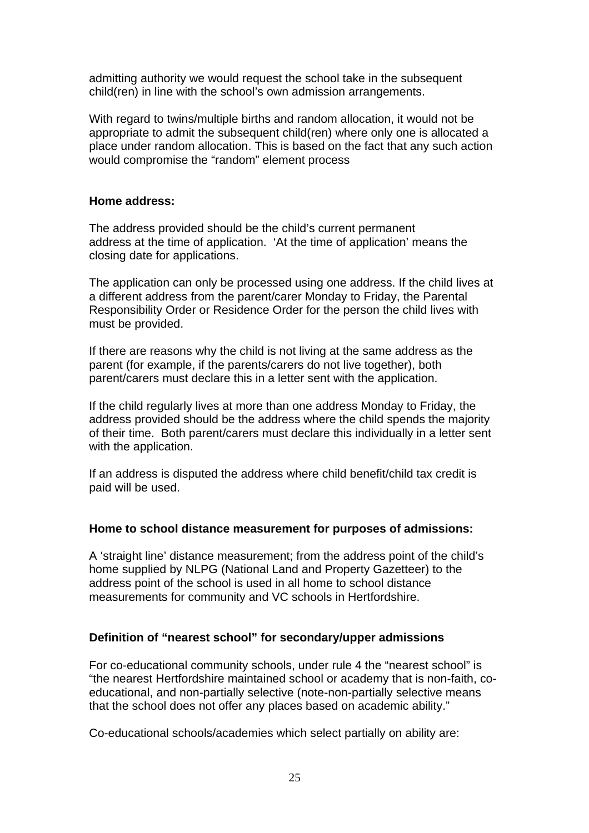admitting authority we would request the school take in the subsequent child(ren) in line with the school's own admission arrangements.

With regard to twins/multiple births and random allocation, it would not be appropriate to admit the subsequent child(ren) where only one is allocated a place under random allocation. This is based on the fact that any such action would compromise the "random" element process

### **Home address:**

The address provided should be the child's current permanent address at the time of application. 'At the time of application' means the closing date for applications.

The application can only be processed using one address. If the child lives at a different address from the parent/carer Monday to Friday, the Parental Responsibility Order or Residence Order for the person the child lives with must be provided.

If there are reasons why the child is not living at the same address as the parent (for example, if the parents/carers do not live together), both parent/carers must declare this in a letter sent with the application.

If the child regularly lives at more than one address Monday to Friday, the address provided should be the address where the child spends the majority of their time. Both parent/carers must declare this individually in a letter sent with the application.

If an address is disputed the address where child benefit/child tax credit is paid will be used.

### **Home to school distance measurement for purposes of admissions:**

A 'straight line' distance measurement; from the address point of the child's home supplied by NLPG (National Land and Property Gazetteer) to the address point of the school is used in all home to school distance measurements for community and VC schools in Hertfordshire.

# **Definition of "nearest school" for secondary/upper admissions**

For co-educational community schools, under rule 4 the "nearest school" is "the nearest Hertfordshire maintained school or academy that is non-faith, coeducational, and non-partially selective (note-non-partially selective means that the school does not offer any places based on academic ability."

Co-educational schools/academies which select partially on ability are: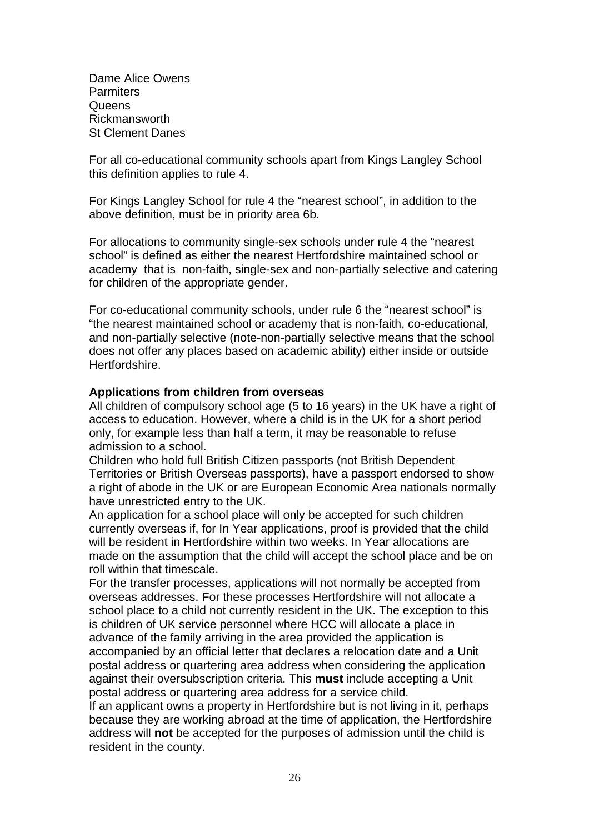Dame Alice Owens **Parmiters Queens** Rickmansworth St Clement Danes

For all co-educational community schools apart from Kings Langley School this definition applies to rule 4.

For Kings Langley School for rule 4 the "nearest school", in addition to the above definition, must be in priority area 6b.

For allocations to community single-sex schools under rule 4 the "nearest school" is defined as either the nearest Hertfordshire maintained school or academy that is non-faith, single-sex and non-partially selective and catering for children of the appropriate gender.

For co-educational community schools, under rule 6 the "nearest school" is "the nearest maintained school or academy that is non-faith, co-educational, and non-partially selective (note-non-partially selective means that the school does not offer any places based on academic ability) either inside or outside **Hertfordshire** 

#### **Applications from children from overseas**

All children of compulsory school age (5 to 16 years) in the UK have a right of access to education. However, where a child is in the UK for a short period only, for example less than half a term, it may be reasonable to refuse admission to a school.

Children who hold full British Citizen passports (not British Dependent Territories or British Overseas passports), have a passport endorsed to show a right of abode in the UK or are European Economic Area nationals normally have unrestricted entry to the UK.

An application for a school place will only be accepted for such children currently overseas if, for In Year applications, proof is provided that the child will be resident in Hertfordshire within two weeks. In Year allocations are made on the assumption that the child will accept the school place and be on roll within that timescale.

For the transfer processes, applications will not normally be accepted from overseas addresses. For these processes Hertfordshire will not allocate a school place to a child not currently resident in the UK. The exception to this is children of UK service personnel where HCC will allocate a place in advance of the family arriving in the area provided the application is accompanied by an official letter that declares a relocation date and a Unit postal address or quartering area address when considering the application against their oversubscription criteria. This **must** include accepting a Unit postal address or quartering area address for a service child. If an applicant owns a property in Hertfordshire but is not living in it, perhaps

because they are working abroad at the time of application, the Hertfordshire address will **not** be accepted for the purposes of admission until the child is resident in the county.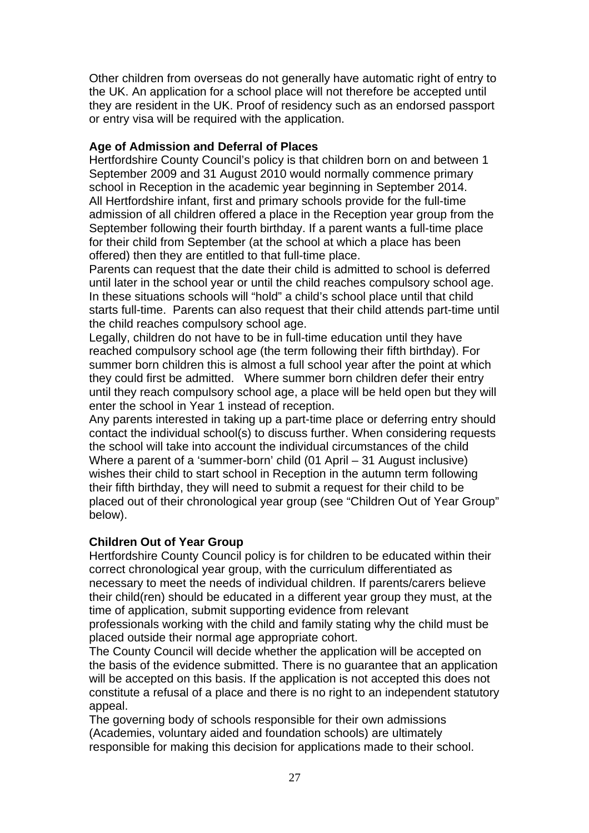Other children from overseas do not generally have automatic right of entry to the UK. An application for a school place will not therefore be accepted until they are resident in the UK. Proof of residency such as an endorsed passport or entry visa will be required with the application.

### **Age of Admission and Deferral of Places**

Hertfordshire County Council's policy is that children born on and between 1 September 2009 and 31 August 2010 would normally commence primary school in Reception in the academic year beginning in September 2014. All Hertfordshire infant, first and primary schools provide for the full-time admission of all children offered a place in the Reception year group from the September following their fourth birthday. If a parent wants a full-time place for their child from September (at the school at which a place has been offered) then they are entitled to that full-time place.

Parents can request that the date their child is admitted to school is deferred until later in the school year or until the child reaches compulsory school age. In these situations schools will "hold" a child's school place until that child starts full-time. Parents can also request that their child attends part-time until the child reaches compulsory school age.

Legally, children do not have to be in full-time education until they have reached compulsory school age (the term following their fifth birthday). For summer born children this is almost a full school year after the point at which they could first be admitted. Where summer born children defer their entry until they reach compulsory school age, a place will be held open but they will enter the school in Year 1 instead of reception.

Any parents interested in taking up a part-time place or deferring entry should contact the individual school(s) to discuss further. When considering requests the school will take into account the individual circumstances of the child Where a parent of a 'summer-born' child (01 April – 31 August inclusive) wishes their child to start school in Reception in the autumn term following their fifth birthday, they will need to submit a request for their child to be placed out of their chronological year group (see "Children Out of Year Group" below).

### **Children Out of Year Group**

Hertfordshire County Council policy is for children to be educated within their correct chronological year group, with the curriculum differentiated as necessary to meet the needs of individual children. If parents/carers believe their child(ren) should be educated in a different year group they must, at the time of application, submit supporting evidence from relevant

professionals working with the child and family stating why the child must be placed outside their normal age appropriate cohort.

The County Council will decide whether the application will be accepted on the basis of the evidence submitted. There is no guarantee that an application will be accepted on this basis. If the application is not accepted this does not constitute a refusal of a place and there is no right to an independent statutory appeal.

The governing body of schools responsible for their own admissions (Academies, voluntary aided and foundation schools) are ultimately responsible for making this decision for applications made to their school.